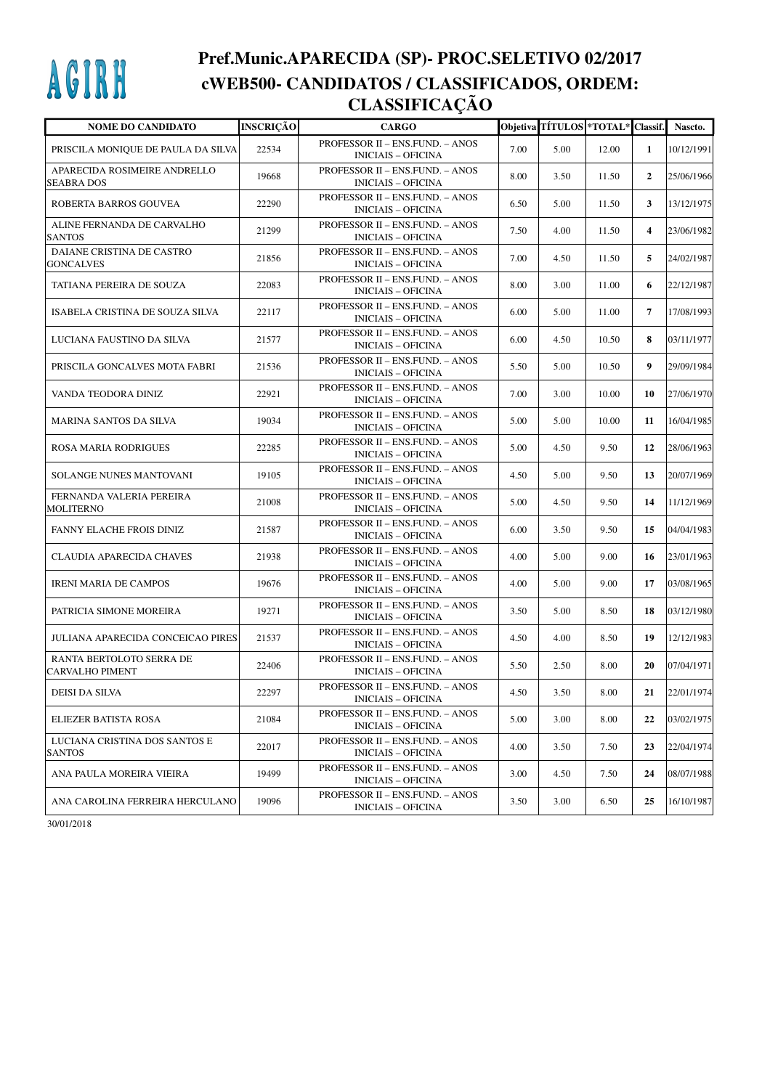## AGIRH

## **Pref.Munic.APARECIDA (SP)- PROC.SELETIVO 02/2017 cWEB500- CANDIDATOS / CLASSIFICADOS, ORDEM: CLASSIFICAÇÃO**

| <b>NOME DO CANDIDATO</b>                           | <b>INSCRIÇÃO</b> | <b>CARGO</b>                                                 |      | Objetiva TÍTULOS *TOTAL* Classif. |       |                | Nascto.    |
|----------------------------------------------------|------------------|--------------------------------------------------------------|------|-----------------------------------|-------|----------------|------------|
| PRISCILA MONIQUE DE PAULA DA SILVA                 | 22534            | PROFESSOR II - ENS.FUND. - ANOS<br><b>INICIAIS - OFICINA</b> | 7.00 | 5.00                              | 12.00 | 1              | 10/12/1991 |
| APARECIDA ROSIMEIRE ANDRELLO<br><b>SEABRA DOS</b>  | 19668            | PROFESSOR II - ENS.FUND. - ANOS<br><b>INICIAIS - OFICINA</b> | 8.00 | 3.50                              | 11.50 | $\overline{2}$ | 25/06/1966 |
| ROBERTA BARROS GOUVEA                              | 22290            | PROFESSOR II - ENS.FUND. - ANOS<br><b>INICIAIS - OFICINA</b> | 6.50 | 5.00                              | 11.50 | 3              | 13/12/1975 |
| ALINE FERNANDA DE CARVALHO<br><b>SANTOS</b>        | 21299            | PROFESSOR II - ENS.FUND. - ANOS<br><b>INICIAIS - OFICINA</b> | 7.50 | 4.00                              | 11.50 | 4              | 23/06/1982 |
| DAIANE CRISTINA DE CASTRO<br>GONCALVES             | 21856            | PROFESSOR II - ENS.FUND. - ANOS<br><b>INICIAIS - OFICINA</b> | 7.00 | 4.50                              | 11.50 | 5              | 24/02/1987 |
| TATIANA PEREIRA DE SOUZA                           | 22083            | PROFESSOR II - ENS.FUND. - ANOS<br><b>INICIAIS - OFICINA</b> | 8.00 | 3.00                              | 11.00 | 6              | 22/12/1987 |
| ISABELA CRISTINA DE SOUZA SILVA                    | 22117            | PROFESSOR II - ENS.FUND. - ANOS<br><b>INICIAIS - OFICINA</b> | 6.00 | 5.00                              | 11.00 | $\overline{7}$ | 17/08/1993 |
| LUCIANA FAUSTINO DA SILVA                          | 21577            | PROFESSOR II - ENS.FUND. - ANOS<br><b>INICIAIS - OFICINA</b> | 6.00 | 4.50                              | 10.50 | 8              | 03/11/1977 |
| PRISCILA GONCALVES MOTA FABRI                      | 21536            | PROFESSOR II - ENS.FUND. - ANOS<br><b>INICIAIS - OFICINA</b> | 5.50 | 5.00                              | 10.50 | 9              | 29/09/1984 |
| VANDA TEODORA DINIZ                                | 22921            | PROFESSOR II - ENS.FUND. - ANOS<br><b>INICIAIS - OFICINA</b> | 7.00 | 3.00                              | 10.00 | 10             | 27/06/1970 |
| MARINA SANTOS DA SILVA                             | 19034            | PROFESSOR II - ENS.FUND. - ANOS<br><b>INICIAIS - OFICINA</b> | 5.00 | 5.00                              | 10.00 | 11             | 16/04/1985 |
| ROSA MARIA RODRIGUES                               | 22285            | PROFESSOR II - ENS.FUND. - ANOS<br><b>INICIAIS - OFICINA</b> | 5.00 | 4.50                              | 9.50  | 12             | 28/06/1963 |
| SOLANGE NUNES MANTOVANI                            | 19105            | PROFESSOR II - ENS.FUND. - ANOS<br><b>INICIAIS - OFICINA</b> | 4.50 | 5.00                              | 9.50  | 13             | 20/07/1969 |
| FERNANDA VALERIA PEREIRA<br>MOLITERNO              | 21008            | PROFESSOR II - ENS.FUND. - ANOS<br><b>INICIAIS - OFICINA</b> | 5.00 | 4.50                              | 9.50  | 14             | 11/12/1969 |
| FANNY ELACHE FROIS DINIZ                           | 21587            | PROFESSOR II - ENS.FUND. - ANOS<br><b>INICIAIS - OFICINA</b> | 6.00 | 3.50                              | 9.50  | 15             | 04/04/1983 |
| CLAUDIA APARECIDA CHAVES                           | 21938            | PROFESSOR II - ENS.FUND. - ANOS<br><b>INICIAIS - OFICINA</b> | 4.00 | 5.00                              | 9.00  | 16             | 23/01/1963 |
| <b>IRENI MARIA DE CAMPOS</b>                       | 19676            | PROFESSOR II - ENS.FUND. - ANOS<br><b>INICIAIS - OFICINA</b> | 4.00 | 5.00                              | 9.00  | 17             | 03/08/1965 |
| PATRICIA SIMONE MOREIRA                            | 19271            | PROFESSOR II - ENS.FUND. - ANOS<br><b>INICIAIS - OFICINA</b> | 3.50 | 5.00                              | 8.50  | 18             | 03/12/1980 |
| JULIANA APARECIDA CONCEICAO PIRES                  | 21537            | PROFESSOR II - ENS.FUND. - ANOS<br><b>INICIAIS - OFICINA</b> | 4.50 | 4.00                              | 8.50  | 19             | 12/12/1983 |
| RANTA BERTOLOTO SERRA DE<br><b>CARVALHO PIMENT</b> | 22406            | PROFESSOR II - ENS.FUND. - ANOS<br><b>INICIAIS - OFICINA</b> | 5.50 | 2.50                              | 8.00  | 20             | 07/04/1971 |
| DEISI DA SILVA                                     | 22297            | PROFESSOR II - ENS.FUND. - ANOS<br><b>INICIAIS – OFICINA</b> | 4.50 | 3.50                              | 8.00  | 21             | 22/01/1974 |
| ELIEZER BATISTA ROSA                               | 21084            | PROFESSOR II - ENS.FUND. - ANOS<br><b>INICIAIS - OFICINA</b> | 5.00 | 3.00                              | 8.00  | 22             | 03/02/1975 |
| LUCIANA CRISTINA DOS SANTOS E<br><b>SANTOS</b>     | 22017            | PROFESSOR II - ENS.FUND. - ANOS<br><b>INICIAIS - OFICINA</b> | 4.00 | 3.50                              | 7.50  | 23             | 22/04/1974 |
| ANA PAULA MOREIRA VIEIRA                           | 19499            | PROFESSOR II – ENS.FUND. – ANOS<br><b>INICIAIS – OFICINA</b> | 3.00 | 4.50                              | 7.50  | 24             | 08/07/1988 |
| ANA CAROLINA FERREIRA HERCULANO                    | 19096            | PROFESSOR II – ENS.FUND. – ANOS<br><b>INICIAIS - OFICINA</b> | 3.50 | 3.00                              | 6.50  | 25             | 16/10/1987 |

30/01/2018